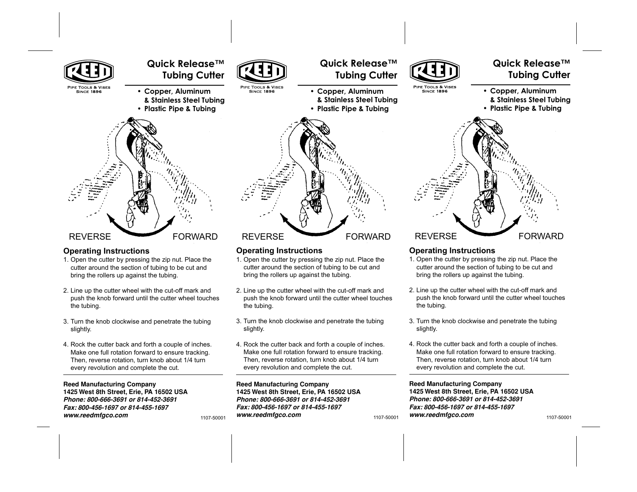

- 1. Open the cutter by pressing the zip nut. Place the cutter around the section of tubing to be cut and bring the rollers up against the tubing.
- 2. Line up the cutter wheel with the cut-off mark and push the knob forward until the cutter wheel touches the tubing.
- 3. Turn the knob clockwise and penetrate the tubing slightly.
- 4. Rock the cutter back and forth a couple of inches. Make one full rotation forward to ensure tracking. Then, reverse rotation, turn knob about 1/4 turn every revolution and complete the cut.

**Reed Manufacturing Company 1425 West 8th Street, Erie, PA 16502 USA Phone: 800-666-3691 or 814-452-3691 Fax: 800-456-1697 or 814-455-1697 www.reedmfgco.com** 1107-50001 2. Line up the cutter wheel with the cut-off mark and push the knob forward until the cutter wheel touches the tubing.

1. Open the cutter by pressing the zip nut. Place the cutter around the section of tubing to be cut and

bring the rollers up against the tubing.

- 3. Turn the knob clockwise and penetrate the tubing slightly.
- 4. Rock the cutter back and forth a couple of inches. Make one full rotation forward to ensure tracking. Then, reverse rotation, turn knob about 1/4 turn every revolution and complete the cut.

**Reed Manufacturing Company 1425 West 8th Street, Erie, PA 16502 USA Phone: 800-666-3691 or 814-452-3691 Fax: 800-456-1697 or 814-455-1697 www.reedmfgco.com** 1107-50001

push the knob forward until the cutter wheel touches the tubing. 3. Turn the knob clockwise and penetrate the tubing

1. Open the cutter by pressing the zip nut. Place the cutter around the section of tubing to be cut and

2. Line up the cutter wheel with the cut-off mark and

bring the rollers up against the tubing.

- slightly.
- 4. Rock the cutter back and forth a couple of inches. Make one full rotation forward to ensure tracking. Then, reverse rotation, turn knob about 1/4 turn every revolution and complete the cut.

### **Reed Manufacturing Company**

**1425 West 8th Street, Erie, PA 16502 USA Phone: 800-666-3691 or 814-452-3691 Fax: 800-456-1697 or 814-455-1697** *www.reedmfgco.com* 1107-50001